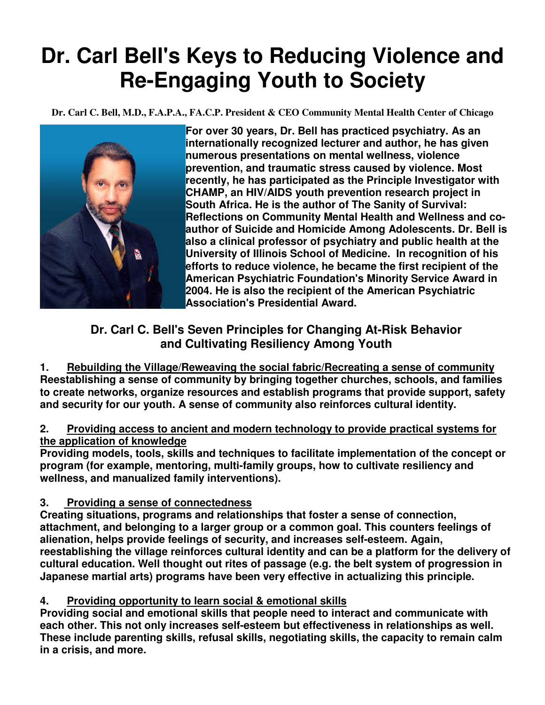# **Dr. Carl Bell's Keys to Reducing Violence and Re-Engaging Youth to Society**

**Dr. Carl C. Bell, M.D., F.A.P.A., FA.C.P. President & CEO Community Mental Health Center of Chicago**



**For over 30 years, Dr. Bell has practiced psychiatry. As an internationally recognized lecturer and author, he has given numerous presentations on mental wellness, violence prevention, and traumatic stress caused by violence. Most recently, he has participated as the Principle Investigator with CHAMP, an HIV/AIDS youth prevention research project in South Africa. He is the author of The Sanity of Survival: Reflections on Community Mental Health and Wellness and coauthor of Suicide and Homicide Among Adolescents. Dr. Bell is also a clinical professor of psychiatry and public health at the University of Illinois School of Medicine. In recognition of his efforts to reduce violence, he became the first recipient of the American Psychiatric Foundation's Minority Service Award in 2004. He is also the recipient of the American Psychiatric Association's Presidential Award.** 

## **Dr. Carl C. Bell's Seven Principles for Changing At-Risk Behavior and Cultivating Resiliency Among Youth**

**1. Rebuilding the Village/Reweaving the social fabric/Recreating a sense of community Reestablishing a sense of community by bringing together churches, schools, and families to create networks, organize resources and establish programs that provide support, safety and security for our youth. A sense of community also reinforces cultural identity.** 

#### **2. Providing access to ancient and modern technology to provide practical systems for the application of knowledge**

**Providing models, tools, skills and techniques to facilitate implementation of the concept or program (for example, mentoring, multi-family groups, how to cultivate resiliency and wellness, and manualized family interventions).** 

### **3. Providing a sense of connectedness**

**Creating situations, programs and relationships that foster a sense of connection, attachment, and belonging to a larger group or a common goal. This counters feelings of alienation, helps provide feelings of security, and increases self-esteem. Again, reestablishing the village reinforces cultural identity and can be a platform for the delivery of cultural education. Well thought out rites of passage (e.g. the belt system of progression in Japanese martial arts) programs have been very effective in actualizing this principle.** 

### **4. Providing opportunity to learn social & emotional skills**

**Providing social and emotional skills that people need to interact and communicate with each other. This not only increases self-esteem but effectiveness in relationships as well. These include parenting skills, refusal skills, negotiating skills, the capacity to remain calm in a crisis, and more.**